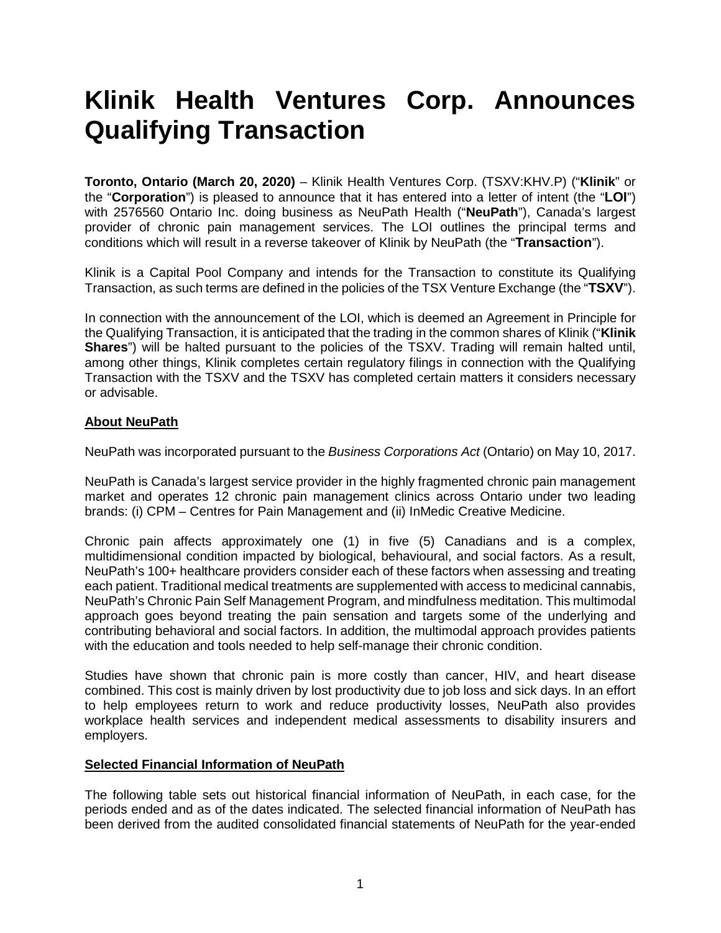# **Klinik Health Ventures Corp. Announces Qualifying Transaction**

**Toronto, Ontario (March 20, 2020)** – Klinik Health Ventures Corp. (TSXV:KHV.P) ("**Klinik**" or the "**Corporation**") is pleased to announce that it has entered into a letter of intent (the "**LOI**") with 2576560 Ontario Inc. doing business as NeuPath Health ("**NeuPath**"), Canada's largest provider of chronic pain management services. The LOI outlines the principal terms and conditions which will result in a reverse takeover of Klinik by NeuPath (the "**Transaction**").

Klinik is a Capital Pool Company and intends for the Transaction to constitute its Qualifying Transaction, as such terms are defined in the policies of the TSX Venture Exchange (the "**TSXV**").

In connection with the announcement of the LOI, which is deemed an Agreement in Principle for the Qualifying Transaction, it is anticipated that the trading in the common shares of Klinik ("**Klinik Shares**") will be halted pursuant to the policies of the TSXV. Trading will remain halted until, among other things, Klinik completes certain regulatory filings in connection with the Qualifying Transaction with the TSXV and the TSXV has completed certain matters it considers necessary or advisable.

# **About NeuPath**

NeuPath was incorporated pursuant to the *Business Corporations Act* (Ontario) on May 10, 2017.

NeuPath is Canada's largest service provider in the highly fragmented chronic pain management market and operates 12 chronic pain management clinics across Ontario under two leading brands: (i) CPM – Centres for Pain Management and (ii) InMedic Creative Medicine.

Chronic pain affects approximately one (1) in five (5) Canadians and is a complex, multidimensional condition impacted by biological, behavioural, and social factors. As a result, NeuPath's 100+ healthcare providers consider each of these factors when assessing and treating each patient. Traditional medical treatments are supplemented with access to medicinal cannabis, NeuPath's Chronic Pain Self Management Program, and mindfulness meditation. This multimodal approach goes beyond treating the pain sensation and targets some of the underlying and contributing behavioral and social factors. In addition, the multimodal approach provides patients with the education and tools needed to help self-manage their chronic condition.

Studies have shown that chronic pain is more costly than cancer, HIV, and heart disease combined. This cost is mainly driven by lost productivity due to job loss and sick days. In an effort to help employees return to work and reduce productivity losses, NeuPath also provides workplace health services and independent medical assessments to disability insurers and employers.

#### **Selected Financial Information of NeuPath**

The following table sets out historical financial information of NeuPath, in each case, for the periods ended and as of the dates indicated. The selected financial information of NeuPath has been derived from the audited consolidated financial statements of NeuPath for the year-ended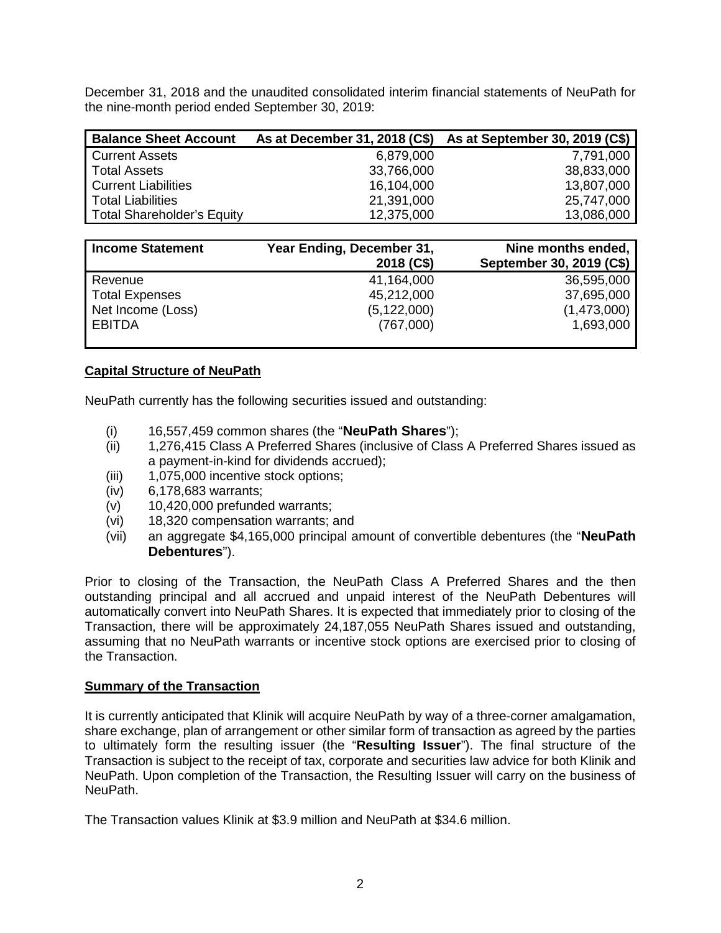December 31, 2018 and the unaudited consolidated interim financial statements of NeuPath for the nine-month period ended September 30, 2019:

| <b>Balance Sheet Account</b>      |            | As at December 31, 2018 (C\$) As at September 30, 2019 (C\$) |
|-----------------------------------|------------|--------------------------------------------------------------|
| <b>Current Assets</b>             | 6,879,000  | 7,791,000                                                    |
| <b>Total Assets</b>               | 33,766,000 | 38,833,000                                                   |
| <b>Current Liabilities</b>        | 16,104,000 | 13,807,000                                                   |
| <b>Total Liabilities</b>          | 21,391,000 | 25,747,000                                                   |
| <b>Total Shareholder's Equity</b> | 12,375,000 | 13,086,000                                                   |

| <b>Income Statement</b> | Year Ending, December 31,<br>2018 (C\$) | Nine months ended,<br>September 30, 2019 (C\$) |
|-------------------------|-----------------------------------------|------------------------------------------------|
| Revenue                 | 41,164,000                              | 36,595,000                                     |
| <b>Total Expenses</b>   | 45,212,000                              | 37,695,000                                     |
| Net Income (Loss)       | (5, 122, 000)                           | (1,473,000)                                    |
| <b>EBITDA</b>           | (767,000)                               | 1,693,000                                      |

# **Capital Structure of NeuPath**

NeuPath currently has the following securities issued and outstanding:

- (i) 16,557,459 common shares (the "**NeuPath Shares**");
- (ii) 1,276,415 Class A Preferred Shares (inclusive of Class A Preferred Shares issued as a payment-in-kind for dividends accrued);
- (iii) 1,075,000 incentive stock options;
- (iv) 6,178,683 warrants;
- $(v)$  10,420,000 prefunded warrants;
- (vi) 18,320 compensation warrants; and
- (vii) an aggregate \$4,165,000 principal amount of convertible debentures (the "**NeuPath Debentures**").

Prior to closing of the Transaction, the NeuPath Class A Preferred Shares and the then outstanding principal and all accrued and unpaid interest of the NeuPath Debentures will automatically convert into NeuPath Shares. It is expected that immediately prior to closing of the Transaction, there will be approximately 24,187,055 NeuPath Shares issued and outstanding, assuming that no NeuPath warrants or incentive stock options are exercised prior to closing of the Transaction.

#### **Summary of the Transaction**

It is currently anticipated that Klinik will acquire NeuPath by way of a three-corner amalgamation, share exchange, plan of arrangement or other similar form of transaction as agreed by the parties to ultimately form the resulting issuer (the "**Resulting Issuer**"). The final structure of the Transaction is subject to the receipt of tax, corporate and securities law advice for both Klinik and NeuPath. Upon completion of the Transaction, the Resulting Issuer will carry on the business of NeuPath.

The Transaction values Klinik at \$3.9 million and NeuPath at \$34.6 million.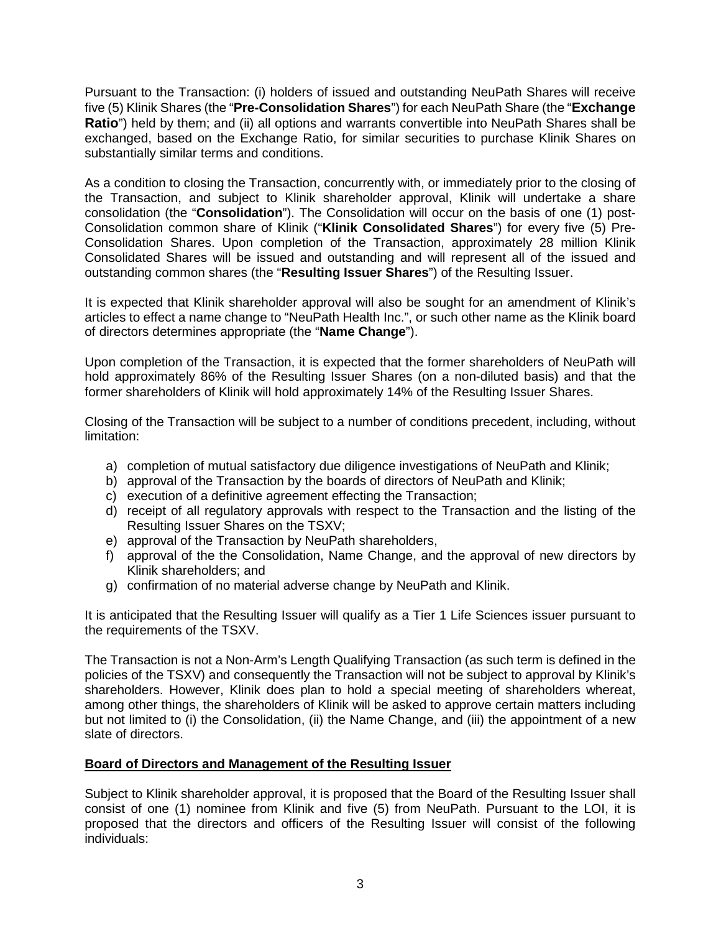Pursuant to the Transaction: (i) holders of issued and outstanding NeuPath Shares will receive five (5) Klinik Shares (the "**Pre-Consolidation Shares**") for each NeuPath Share (the "**Exchange Ratio**") held by them; and (ii) all options and warrants convertible into NeuPath Shares shall be exchanged, based on the Exchange Ratio, for similar securities to purchase Klinik Shares on substantially similar terms and conditions.

As a condition to closing the Transaction, concurrently with, or immediately prior to the closing of the Transaction, and subject to Klinik shareholder approval, Klinik will undertake a share consolidation (the "**Consolidation**"). The Consolidation will occur on the basis of one (1) post-Consolidation common share of Klinik ("**Klinik Consolidated Shares**") for every five (5) Pre-Consolidation Shares. Upon completion of the Transaction, approximately 28 million Klinik Consolidated Shares will be issued and outstanding and will represent all of the issued and outstanding common shares (the "**Resulting Issuer Shares**") of the Resulting Issuer.

It is expected that Klinik shareholder approval will also be sought for an amendment of Klinik's articles to effect a name change to "NeuPath Health Inc.", or such other name as the Klinik board of directors determines appropriate (the "**Name Change**").

Upon completion of the Transaction, it is expected that the former shareholders of NeuPath will hold approximately 86% of the Resulting Issuer Shares (on a non-diluted basis) and that the former shareholders of Klinik will hold approximately 14% of the Resulting Issuer Shares.

Closing of the Transaction will be subject to a number of conditions precedent, including, without limitation:

- a) completion of mutual satisfactory due diligence investigations of NeuPath and Klinik;
- b) approval of the Transaction by the boards of directors of NeuPath and Klinik;
- c) execution of a definitive agreement effecting the Transaction;
- d) receipt of all regulatory approvals with respect to the Transaction and the listing of the Resulting Issuer Shares on the TSXV;
- e) approval of the Transaction by NeuPath shareholders,
- f) approval of the the Consolidation, Name Change, and the approval of new directors by Klinik shareholders; and
- g) confirmation of no material adverse change by NeuPath and Klinik.

It is anticipated that the Resulting Issuer will qualify as a Tier 1 Life Sciences issuer pursuant to the requirements of the TSXV.

The Transaction is not a Non-Arm's Length Qualifying Transaction (as such term is defined in the policies of the TSXV) and consequently the Transaction will not be subject to approval by Klinik's shareholders. However, Klinik does plan to hold a special meeting of shareholders whereat, among other things, the shareholders of Klinik will be asked to approve certain matters including but not limited to (i) the Consolidation, (ii) the Name Change, and (iii) the appointment of a new slate of directors.

# **Board of Directors and Management of the Resulting Issuer**

Subject to Klinik shareholder approval, it is proposed that the Board of the Resulting Issuer shall consist of one (1) nominee from Klinik and five (5) from NeuPath. Pursuant to the LOI, it is proposed that the directors and officers of the Resulting Issuer will consist of the following individuals: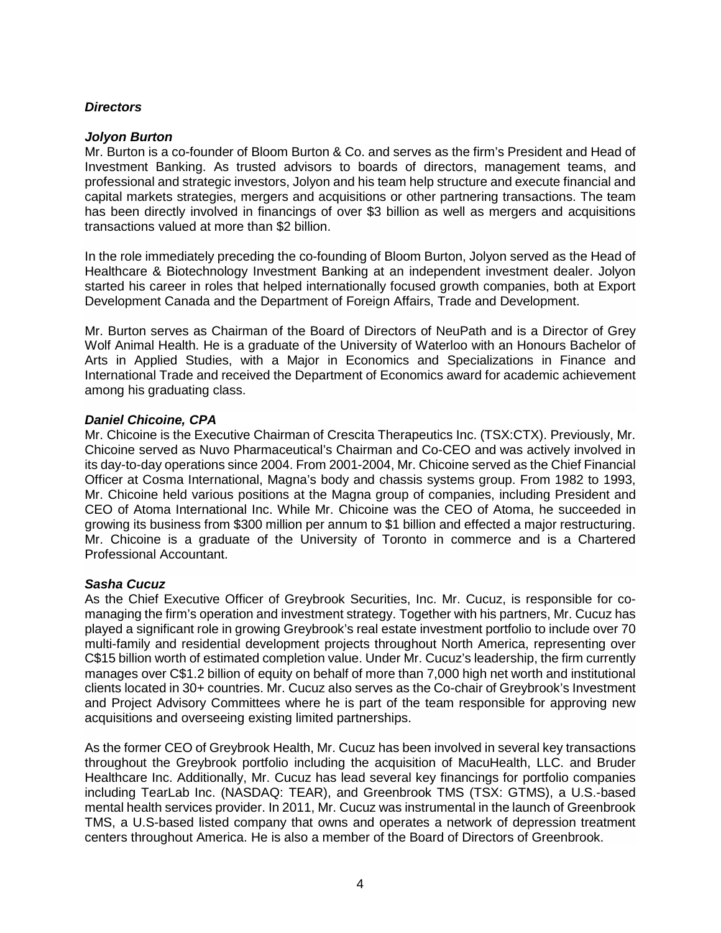## *Directors*

#### *Jolyon Burton*

Mr. Burton is a co-founder of Bloom Burton & Co. and serves as the firm's President and Head of Investment Banking. As trusted advisors to boards of directors, management teams, and professional and strategic investors, Jolyon and his team help structure and execute financial and capital markets strategies, mergers and acquisitions or other partnering transactions. The team has been directly involved in financings of over \$3 billion as well as mergers and acquisitions transactions valued at more than \$2 billion.

In the role immediately preceding the co-founding of Bloom Burton, Jolyon served as the Head of Healthcare & Biotechnology Investment Banking at an independent investment dealer. Jolyon started his career in roles that helped internationally focused growth companies, both at Export Development Canada and the Department of Foreign Affairs, Trade and Development.

Mr. Burton serves as Chairman of the Board of Directors of NeuPath and is a Director of Grey Wolf Animal Health. He is a graduate of the University of Waterloo with an Honours Bachelor of Arts in Applied Studies, with a Major in Economics and Specializations in Finance and International Trade and received the Department of Economics award for academic achievement among his graduating class.

## *Daniel Chicoine, CPA*

Mr. Chicoine is the Executive Chairman of Crescita Therapeutics Inc. (TSX:CTX). Previously, Mr. Chicoine served as Nuvo Pharmaceutical's Chairman and Co-CEO and was actively involved in its day-to-day operations since 2004. From 2001-2004, Mr. Chicoine served as the Chief Financial Officer at Cosma International, Magna's body and chassis systems group. From 1982 to 1993, Mr. Chicoine held various positions at the Magna group of companies, including President and CEO of Atoma International Inc. While Mr. Chicoine was the CEO of Atoma, he succeeded in growing its business from \$300 million per annum to \$1 billion and effected a major restructuring. Mr. Chicoine is a graduate of the University of Toronto in commerce and is a Chartered Professional Accountant.

#### *Sasha Cucuz*

As the Chief Executive Officer of Greybrook Securities, Inc. Mr. Cucuz, is responsible for comanaging the firm's operation and investment strategy. Together with his partners, Mr. Cucuz has played a significant role in growing Greybrook's real estate investment portfolio to include over 70 multi-family and residential development projects throughout North America, representing over C\$15 billion worth of estimated completion value. Under Mr. Cucuz's leadership, the firm currently manages over C\$1.2 billion of equity on behalf of more than 7,000 high net worth and institutional clients located in 30+ countries. Mr. Cucuz also serves as the Co-chair of Greybrook's Investment and Project Advisory Committees where he is part of the team responsible for approving new acquisitions and overseeing existing limited partnerships.

As the former CEO of Greybrook Health, Mr. Cucuz has been involved in several key transactions throughout the Greybrook portfolio including the acquisition of MacuHealth, LLC. and Bruder Healthcare Inc. Additionally, Mr. Cucuz has lead several key financings for portfolio companies including TearLab Inc. (NASDAQ: TEAR), and Greenbrook TMS (TSX: GTMS), a U.S.-based mental health services provider. In 2011, Mr. Cucuz was instrumental in the launch of Greenbrook TMS, a U.S-based listed company that owns and operates a network of depression treatment centers throughout America. He is also a member of the Board of Directors of Greenbrook.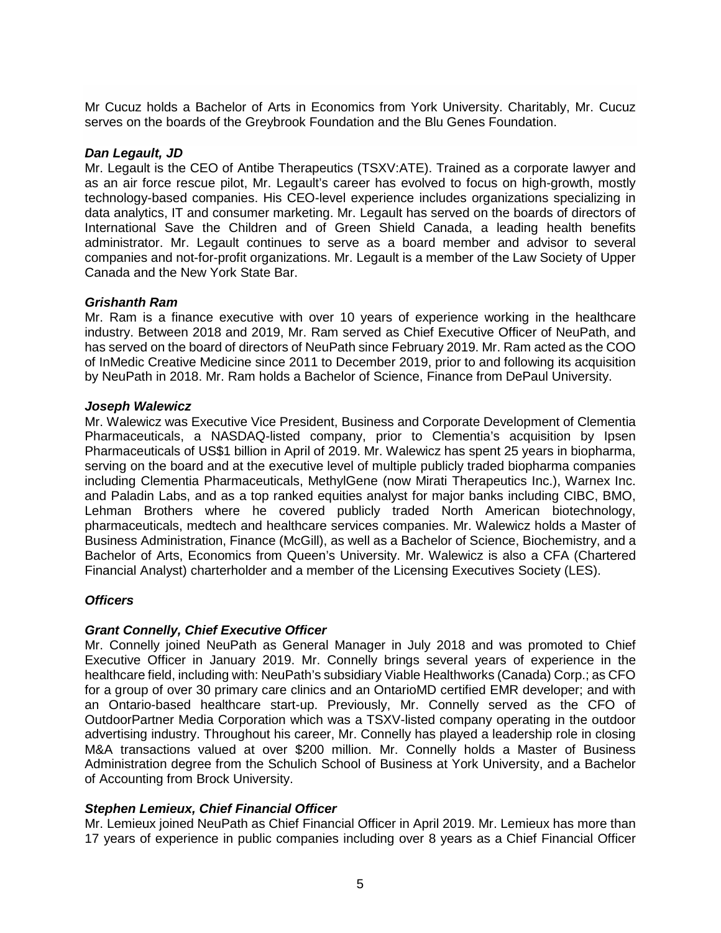Mr Cucuz holds a Bachelor of Arts in Economics from York University. Charitably, Mr. Cucuz serves on the boards of the Greybrook Foundation and the Blu Genes Foundation.

## *Dan Legault, JD*

Mr. Legault is the CEO of Antibe Therapeutics (TSXV:ATE). Trained as a corporate lawyer and as an air force rescue pilot, Mr. Legault's career has evolved to focus on high-growth, mostly technology-based companies. His CEO-level experience includes organizations specializing in data analytics, IT and consumer marketing. Mr. Legault has served on the boards of directors of International Save the Children and of Green Shield Canada, a leading health benefits administrator. Mr. Legault continues to serve as a board member and advisor to several companies and not-for-profit organizations. Mr. Legault is a member of the Law Society of Upper Canada and the New York State Bar.

## *Grishanth Ram*

Mr. Ram is a finance executive with over 10 years of experience working in the healthcare industry. Between 2018 and 2019, Mr. Ram served as Chief Executive Officer of NeuPath, and has served on the board of directors of NeuPath since February 2019. Mr. Ram acted as the COO of InMedic Creative Medicine since 2011 to December 2019, prior to and following its acquisition by NeuPath in 2018. Mr. Ram holds a Bachelor of Science, Finance from DePaul University.

## *Joseph Walewicz*

Mr. Walewicz was Executive Vice President, Business and Corporate Development of Clementia Pharmaceuticals, a NASDAQ-listed company, prior to Clementia's acquisition by Ipsen Pharmaceuticals of US\$1 billion in April of 2019. Mr. Walewicz has spent 25 years in biopharma, serving on the board and at the executive level of multiple publicly traded biopharma companies including Clementia Pharmaceuticals, MethylGene (now Mirati Therapeutics Inc.), Warnex Inc. and Paladin Labs, and as a top ranked equities analyst for major banks including CIBC, BMO, Lehman Brothers where he covered publicly traded North American biotechnology, pharmaceuticals, medtech and healthcare services companies. Mr. Walewicz holds a Master of Business Administration, Finance (McGill), as well as a Bachelor of Science, Biochemistry, and a Bachelor of Arts, Economics from Queen's University. Mr. Walewicz is also a CFA (Chartered Financial Analyst) charterholder and a member of the Licensing Executives Society (LES).

# *Officers*

# *Grant Connelly, Chief Executive Officer*

Mr. Connelly joined NeuPath as General Manager in July 2018 and was promoted to Chief Executive Officer in January 2019. Mr. Connelly brings several years of experience in the healthcare field, including with: NeuPath's subsidiary Viable Healthworks (Canada) Corp.; as CFO for a group of over 30 primary care clinics and an OntarioMD certified EMR developer; and with an Ontario-based healthcare start-up. Previously, Mr. Connelly served as the CFO of OutdoorPartner Media Corporation which was a TSXV-listed company operating in the outdoor advertising industry. Throughout his career, Mr. Connelly has played a leadership role in closing M&A transactions valued at over \$200 million. Mr. Connelly holds a Master of Business Administration degree from the Schulich School of Business at York University, and a Bachelor of Accounting from Brock University.

# *Stephen Lemieux, Chief Financial Officer*

Mr. Lemieux joined NeuPath as Chief Financial Officer in April 2019. Mr. Lemieux has more than 17 years of experience in public companies including over 8 years as a Chief Financial Officer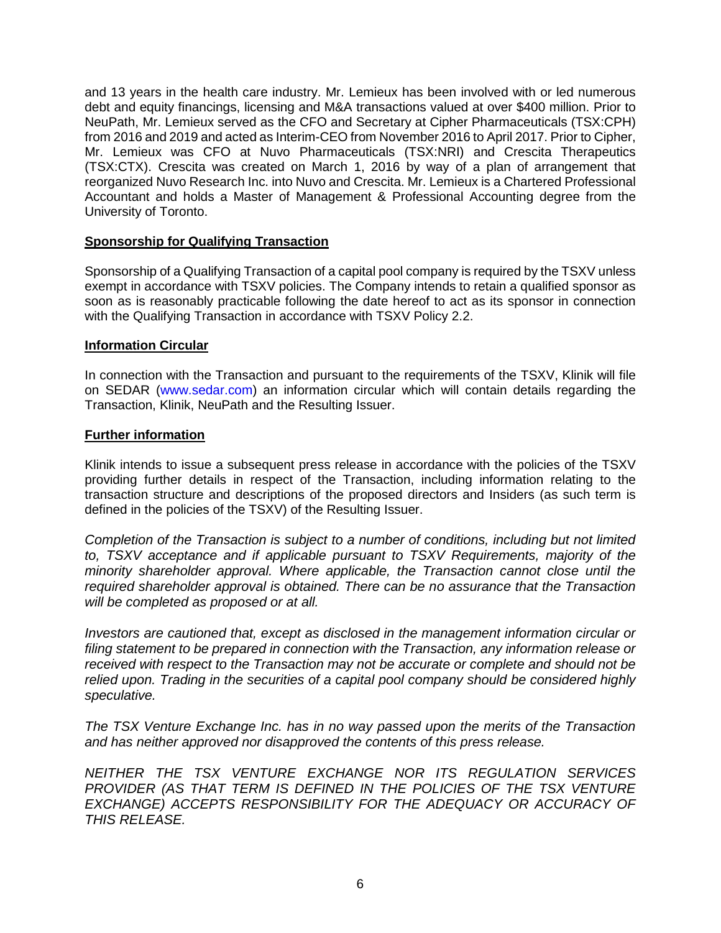and 13 years in the health care industry. Mr. Lemieux has been involved with or led numerous debt and equity financings, licensing and M&A transactions valued at over \$400 million. Prior to NeuPath, Mr. Lemieux served as the CFO and Secretary at Cipher Pharmaceuticals (TSX:CPH) from 2016 and 2019 and acted as Interim-CEO from November 2016 to April 2017. Prior to Cipher, Mr. Lemieux was CFO at Nuvo Pharmaceuticals (TSX:NRI) and Crescita Therapeutics (TSX:CTX). Crescita was created on March 1, 2016 by way of a plan of arrangement that reorganized Nuvo Research Inc. into Nuvo and Crescita. Mr. Lemieux is a Chartered Professional Accountant and holds a Master of Management & Professional Accounting degree from the University of Toronto.

## **Sponsorship for Qualifying Transaction**

Sponsorship of a Qualifying Transaction of a capital pool company is required by the TSXV unless exempt in accordance with TSXV policies. The Company intends to retain a qualified sponsor as soon as is reasonably practicable following the date hereof to act as its sponsor in connection with the Qualifying Transaction in accordance with TSXV Policy 2.2.

#### **Information Circular**

In connection with the Transaction and pursuant to the requirements of the TSXV, Klinik will file on SEDAR (www.sedar.com) an information circular which will contain details regarding the Transaction, Klinik, NeuPath and the Resulting Issuer.

#### **Further information**

Klinik intends to issue a subsequent press release in accordance with the policies of the TSXV providing further details in respect of the Transaction, including information relating to the transaction structure and descriptions of the proposed directors and Insiders (as such term is defined in the policies of the TSXV) of the Resulting Issuer.

*Completion of the Transaction is subject to a number of conditions, including but not limited to, TSXV acceptance and if applicable pursuant to TSXV Requirements, majority of the minority shareholder approval. Where applicable, the Transaction cannot close until the required shareholder approval is obtained. There can be no assurance that the Transaction will be completed as proposed or at all.* 

*Investors are cautioned that, except as disclosed in the management information circular or filing statement to be prepared in connection with the Transaction, any information release or received with respect to the Transaction may not be accurate or complete and should not be relied upon. Trading in the securities of a capital pool company should be considered highly speculative.* 

*The TSX Venture Exchange Inc. has in no way passed upon the merits of the Transaction and has neither approved nor disapproved the contents of this press release.* 

*NEITHER THE TSX VENTURE EXCHANGE NOR ITS REGULATION SERVICES PROVIDER (AS THAT TERM IS DEFINED IN THE POLICIES OF THE TSX VENTURE EXCHANGE) ACCEPTS RESPONSIBILITY FOR THE ADEQUACY OR ACCURACY OF THIS RELEASE.*